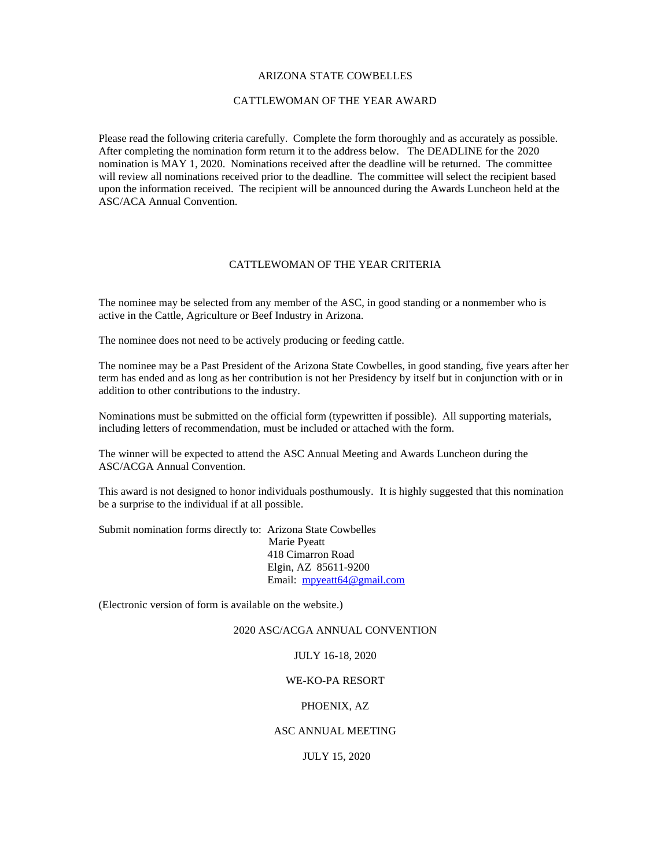#### ARIZONA STATE COWBELLES

#### CATTLEWOMAN OF THE YEAR AWARD

Please read the following criteria carefully. Complete the form thoroughly and as accurately as possible. After completing the nomination form return it to the address below. The DEADLINE for the 2020 nomination is MAY 1, 2020. Nominations received after the deadline will be returned. The committee will review all nominations received prior to the deadline. The committee will select the recipient based upon the information received. The recipient will be announced during the Awards Luncheon held at the ASC/ACA Annual Convention.

## CATTLEWOMAN OF THE YEAR CRITERIA

The nominee may be selected from any member of the ASC, in good standing or a nonmember who is active in the Cattle, Agriculture or Beef Industry in Arizona.

The nominee does not need to be actively producing or feeding cattle.

The nominee may be a Past President of the Arizona State Cowbelles, in good standing, five years after her term has ended and as long as her contribution is not her Presidency by itself but in conjunction with or in addition to other contributions to the industry.

Nominations must be submitted on the official form (typewritten if possible). All supporting materials, including letters of recommendation, must be included or attached with the form.

The winner will be expected to attend the ASC Annual Meeting and Awards Luncheon during the ASC/ACGA Annual Convention.

This award is not designed to honor individuals posthumously. It is highly suggested that this nomination be a surprise to the individual if at all possible.

Submit nomination forms directly to: Arizona State Cowbelles Marie Pyeatt 418 Cimarron Road Elgin, AZ 85611-9200 Email: [mpyeatt64@gmail.com](mailto:mpyeatt64@gmail.com) 

(Electronic version of form is available on the website.)

### 2020 ASC/ACGA ANNUAL CONVENTION

#### JULY 16-18, 2020

## WE-KO-PA RESORT

## PHOENIX, AZ

#### ASC ANNUAL MEETING

### JULY 15, 2020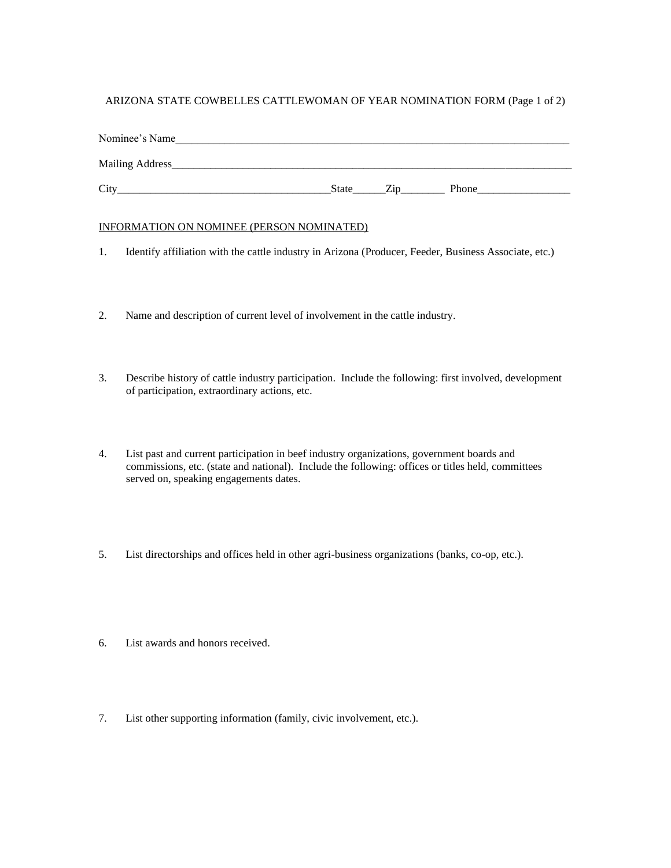# ARIZONA STATE COWBELLES CATTLEWOMAN OF YEAR NOMINATION FORM (Page 1 of 2)

| Nominee's Name   |       |                 |       |
|------------------|-------|-----------------|-------|
| Mailing Address_ |       |                 |       |
| City             | State | Z <sub>1D</sub> | Phone |

## INFORMATION ON NOMINEE (PERSON NOMINATED)

- 1. Identify affiliation with the cattle industry in Arizona (Producer, Feeder, Business Associate, etc.)
- 2. Name and description of current level of involvement in the cattle industry.
- 3. Describe history of cattle industry participation. Include the following: first involved, development of participation, extraordinary actions, etc.
- 4. List past and current participation in beef industry organizations, government boards and commissions, etc. (state and national). Include the following: offices or titles held, committees served on, speaking engagements dates.
- 5. List directorships and offices held in other agri-business organizations (banks, co-op, etc.).
- 6. List awards and honors received.
- 7. List other supporting information (family, civic involvement, etc.).